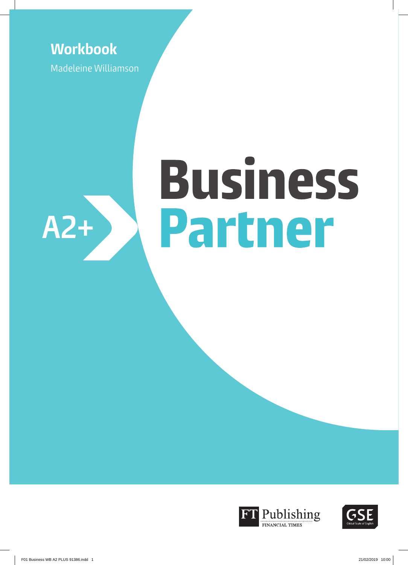# **Workbook**

Madeleine Williamson

# **Business** Partner **A2+**



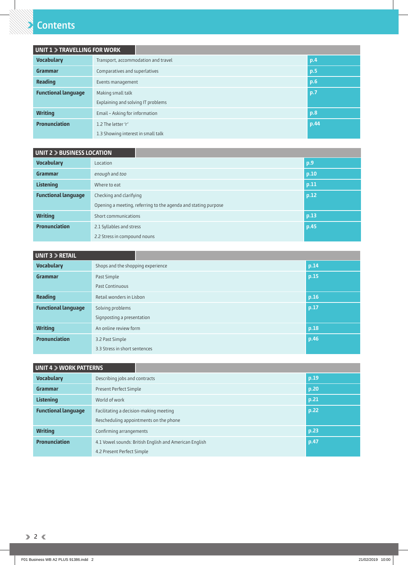## **Contents**

| <b>UNIT 1 &gt; TRAVELLING FOR WORK</b> |                                     |  |      |  |
|----------------------------------------|-------------------------------------|--|------|--|
| <b>Vocabulary</b>                      | Transport, accommodation and travel |  | p.4  |  |
| Grammar                                | Comparatives and superlatives       |  | p.5  |  |
| Reading                                | Events management                   |  |      |  |
| <b>Functional language</b>             | Making small talk                   |  | p.7  |  |
|                                        | Explaining and solving IT problems  |  |      |  |
| <b>Writing</b>                         | Email - Asking for information      |  | p.8  |  |
| <b>Pronunciation</b>                   | 1.2 The letter 'r'                  |  | p.44 |  |
|                                        | 1.3 Showing interest in small talk  |  |      |  |

| UNIT 2 > BUSINESS LOCATION |                                                                |      |  |  |  |
|----------------------------|----------------------------------------------------------------|------|--|--|--|
| <b>Vocabulary</b>          | Location                                                       | p.9  |  |  |  |
| Grammar                    | enough and too                                                 | p.10 |  |  |  |
| <b>Listening</b>           | Where to eat                                                   | p.11 |  |  |  |
| <b>Functional language</b> | Checking and clarifying                                        | p.12 |  |  |  |
|                            | Opening a meeting, referring to the agenda and stating purpose |      |  |  |  |
| <b>Writing</b>             | Short communications                                           | p.13 |  |  |  |
| <b>Pronunciation</b>       | 2.1 Syllables and stress                                       | p.45 |  |  |  |
|                            | 2.2 Stress in compound nouns                                   |      |  |  |  |

| UNIT 3 > RETAIL                                |                                   |      |
|------------------------------------------------|-----------------------------------|------|
| <b>Vocabulary</b>                              | Shops and the shopping experience | p.14 |
| Grammar                                        | Past Simple                       | p.15 |
|                                                | Past Continuous                   |      |
| <b>Reading</b>                                 | Retail wonders in Lisbon          | p.16 |
| <b>Functional language</b><br>Solving problems |                                   | p.17 |
|                                                | Signposting a presentation        |      |
| <b>Writing</b>                                 | An online review form             | p.18 |
| <b>Pronunciation</b><br>3.2 Past Simple        |                                   | p.46 |
|                                                | 3.3 Stress in short sentences     |      |

| UNIT 4 > WORK PATTERNS     |                                                        |      |  |  |  |
|----------------------------|--------------------------------------------------------|------|--|--|--|
| <b>Vocabulary</b>          | Describing jobs and contracts                          | p.19 |  |  |  |
| Grammar                    | Present Perfect Simple                                 | p.20 |  |  |  |
| Listening                  | World of work                                          | p.21 |  |  |  |
| <b>Functional language</b> | Facilitating a decision-making meeting                 | p.22 |  |  |  |
|                            | Rescheduling appointments on the phone                 |      |  |  |  |
| <b>Writing</b>             | Confirming arrangements                                | p.23 |  |  |  |
| <b>Pronunciation</b>       | 4.1 Vowel sounds: British English and American English | p.47 |  |  |  |
|                            | 4.2 Present Perfect Simple                             |      |  |  |  |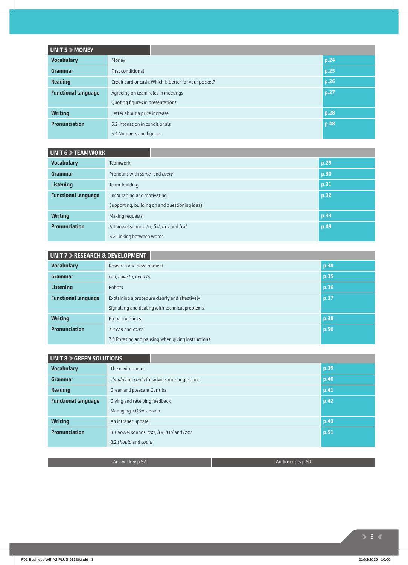| UNIT 5 > MONEY             |                                                       |      |
|----------------------------|-------------------------------------------------------|------|
| <b>Vocabulary</b>          | Money                                                 | p.24 |
| Grammar                    | First conditional                                     | p.25 |
| <b>Reading</b>             | Credit card or cash: Which is better for your pocket? | p.26 |
| <b>Functional language</b> | Agreeing on team roles in meetings                    | p.27 |
|                            | Quoting figures in presentations                      |      |
| <b>Writing</b>             | Letter about a price increase                         | p.28 |
| <b>Pronunciation</b>       | 5.2 Intonation in conditionals                        | p.48 |
|                            | 5.4 Numbers and figures                               |      |

## **UNIT 6 > TEAMWORK**

| <b>Vocabulary</b>          | Teamwork                                                                                          | p.29 |  |
|----------------------------|---------------------------------------------------------------------------------------------------|------|--|
| Grammar                    | Pronouns with some- and every-                                                                    | p.30 |  |
| <b>Listening</b>           | Team-building                                                                                     | p.31 |  |
| <b>Functional language</b> | p.32<br>Encouraging and motivating                                                                |      |  |
|                            | Supporting, building on and questioning ideas                                                     |      |  |
| <b>Writing</b>             | Making requests                                                                                   | p.33 |  |
| <b>Pronunciation</b>       | 6.1 Vowel sounds: $\frac{1}{i}$ , $\frac{1}{i}$ , $\frac{1}{i}$ , $\frac{1}{i}$ and $\frac{1}{i}$ | p.49 |  |
|                            | 6.2 Linking between words                                                                         |      |  |

| UNIT 7 ▶ RESEARCH & DEVELOPMENT                                              |                                                   |      |  |  |  |
|------------------------------------------------------------------------------|---------------------------------------------------|------|--|--|--|
| <b>Vocabulary</b>                                                            | Research and development                          | p.34 |  |  |  |
| Grammar                                                                      | can, have to, need to                             | p.35 |  |  |  |
| <b>Listening</b>                                                             | p.36<br>Robots                                    |      |  |  |  |
| <b>Functional language</b><br>Explaining a procedure clearly and effectively |                                                   | p.37 |  |  |  |
|                                                                              | Signalling and dealing with technical problems    |      |  |  |  |
| <b>Writing</b>                                                               | Preparing slides                                  | p.38 |  |  |  |
| <b>Pronunciation</b><br>7.2 can and can't                                    |                                                   | p.50 |  |  |  |
|                                                                              | 7.3 Phrasing and pausing when giving instructions |      |  |  |  |

| <b>UNIT 8 &gt; GREEN SOLUTIONS</b> |                                                      |      |
|------------------------------------|------------------------------------------------------|------|
| <b>Vocabulary</b>                  | The environment                                      | p.39 |
| Grammar                            | should and could for advice and suggestions          | p.40 |
| Reading                            | Green and pleasant Curitiba                          | p.41 |
| <b>Functional language</b>         | Giving and receiving feedback                        | p.42 |
|                                    | Managing a Q&A session                               |      |
| <b>Writing</b>                     | An intranet update                                   | p.43 |
| <b>Pronunciation</b>               | 8.1 Vowel sounds: $/3I/$ , $/U/$ , $/UI/$ and $/3U/$ | p.51 |
|                                    | 8.2 should and could                                 |      |

Answer key p.52 Audioscripts p.60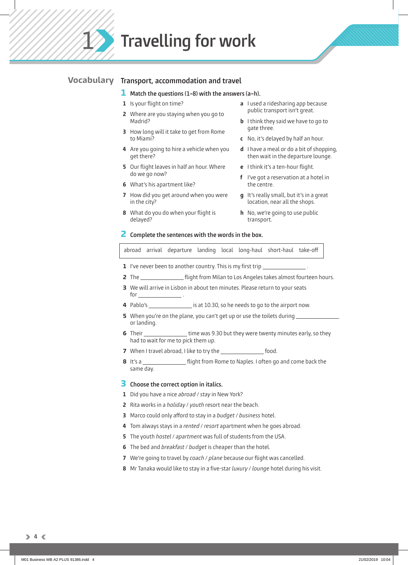**Travelling for work** 

## **Transport, accommodation and travel Vocabulary**

#### **1 Match the questions (1–8) with the answers (a–h).**

- **1** Is your flight on time?
- **2** Where are you staying when you go to Madrid?
- **3** How long will it take to get from Rome to Miami?
- **4** Are you going to hire a vehicle when you get there?
- **5** Our flight leaves in half an hour. Where do we go now?
- **6** What's his apartment like?
- **7** How did you get around when you were in the city?
- **8** What do you do when your flight is delayed?
- **a** I used a ridesharing app because public transport isn't great.
- **b** I think they said we have to go to gate three.
- **c** No, it's delayed by half an hour.
- **d** I have a meal or do a bit of shopping, then wait in the departure lounge.
- **e** I think it's a ten-hour flight.
- **f** I've got a reservation at a hotel in the centre.
- **g** It's really small, but it's in a great location, near all the shops.
- **h** No, we're going to use public transport.

#### **2 Complete the sentences with the words in the box.**

abroad arrival departure landing local long-haul short-haul take-off

- **1** I've never been to another country. This is my first trip
- **2** The *\_\_\_\_\_\_\_\_\_\_\_\_\_\_\_\_*\_\_ flight from Milan to Los Angeles takes almost fourteen hours.
- **3** We will arrive in Lisbon in about ten minutes. Please return to your seats for  $\_\_$
- **4** Pablo's \_\_\_\_\_\_\_\_\_\_\_\_\_\_\_\_\_ is at 10.30, so he needs to go to the airport now.
- **5** When you're on the plane, you can't get up or use the toilets during or landing.
- **6** Their \_\_\_\_\_\_\_\_\_\_\_\_\_\_\_\_\_\_\_\_\_\_ time was 9.30 but they were twenty minutes early, so they had to wait for me to pick them up.
- **7** When I travel abroad, I like to try the **food.**
- **8** It's a <u>flight from Rome to Naples</u>. I often go and come back the same day.

## **3 Choose the correct option in italics.**

- **1** Did you have a nice *abroad* / *stay* in New York?
- **2** Rita works in a *holiday* / *youth* resort near the beach.
- **3** Marco could only afford to stay in a *budget* / *business* hotel.
- **4** Tom always stays in a *rented* / *resort* apartment when he goes abroad.
- **5** The youth *hostel* / *apartment* was full of students from the USA.
- **6** The bed and *breakfast* / *budget* is cheaper than the hotel.
- **7** We're going to travel by *coach* / *plane* because our flight was cancelled.
- **8** Mr Tanaka would like to stay in a five-star *luxury / lounge* hotel during his visit.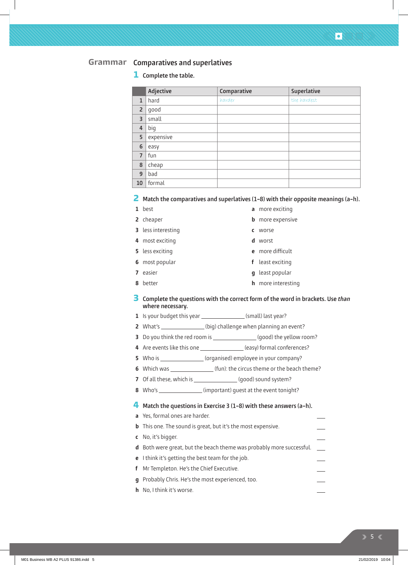## **Comparatives and superlatives Grammar**

## **1 Complete the table.**

|                | Adjective | Comparative | Superlative |
|----------------|-----------|-------------|-------------|
| $\mathbf{1}$   | hard      | harder      | the hardest |
| $\overline{2}$ | good      |             |             |
| 3              | small     |             |             |
| 4              | big       |             |             |
| 5              | expensive |             |             |
| 6              | easy      |             |             |
| $\overline{7}$ | fun       |             |             |
| 8              | cheap     |             |             |
| 9              | bad       |             |             |
| 10             | formal    |             |             |

## **2 Match the comparatives and superlatives (1–8) with their opposite meanings (a–h).**

| ×<br>٠<br>٧<br>۰,<br>× |
|------------------------|
|                        |

- **2** cheaper
- **3** less interesting
- **4** most exciting
- **5** less exciting
- **6** most popular
- **7** easier
- **8** better
- **a** more exciting
- **b** more expensive
- **c** worse
- **d** worst
- **e** more difficult
- **f** least exciting
- **g** least popular
- **h** more interesting
- **3 Complete the questions with the correct form of the word in brackets. Use** *than* **where necessary.**
- **1** Is your budget this year (small) last year?
- **2** What's \_\_\_\_\_\_\_\_\_\_\_\_\_\_\_\_(big) challenge when planning an event?
- **3** Do you think the red room is (good) the yellow room?
- 4 Are events like this one \_\_\_\_\_\_\_\_\_\_\_\_\_\_\_(easy) formal conferences?
- **5** Who is \_\_\_\_\_\_\_\_\_\_\_\_\_\_\_ (organised) employee in your company?
- **6** Which was (fun): the circus theme or the beach theme?
- **7** Of all these, which is (good) sound system?
- **8** Who's \_\_\_\_\_\_\_\_\_\_\_\_\_\_\_\_(important) guest at the event tonight?

## **4 Match the questions in Exercise 3 (1–8) with these answers (a–h).**

- **a** Yes, formal ones are harder. **b** This one. The sound is great, but it's the most expensive. **c** No, it's bigger. **d** Both were great, but the beach theme was probably more successful. **e** I think it's getting the best team for the job. **f** Mr Templeton. He's the Chief Executive. **g** Probably Chris. He's the most experienced, too.
- **h** No, I think it's worse.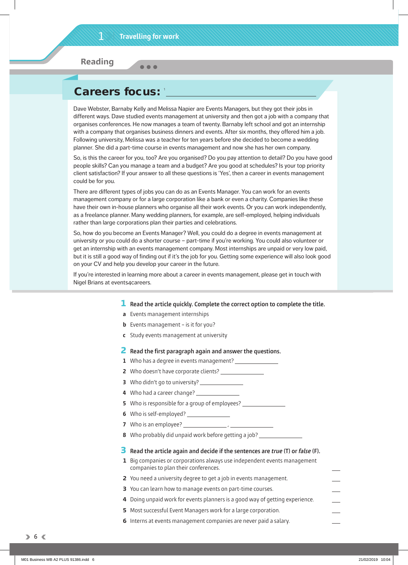$\bullet$   $\bullet$   $\bullet$ 

**Reading**

## Careers focus:

Dave Webster, Barnaby Kelly and Melissa Napier are Events Managers, but they got their jobs in different ways. Dave studied events management at university and then got a job with a company that organises conferences. He now manages a team of twenty. Barnaby left school and got an internship with a company that organises business dinners and events. After six months, they offered him a job. Following university, Melissa was a teacher for ten years before she decided to become a wedding planner. She did a part-time course in events management and now she has her own company.

So, is this the career for you, too? Are you organised? Do you pay attention to detail? Do you have good people skills? Can you manage a team and a budget? Are you good at schedules? Is your top priority client satisfaction? If your answer to all these questions is 'Yes', then a career in events management could be for you.

There are different types of jobs you can do as an Events Manager. You can work for an events management company or for a large corporation like a bank or even a charity. Companies like these have their own in-house planners who organise all their work events. Or you can work independently, as a freelance planner. Many wedding planners, for example, are self-employed, helping individuals rather than large corporations plan their parties and celebrations.

So, how do you become an Events Manager? Well, you could do a degree in events management at university or you could do a shorter course – part-time if you're working. You could also volunteer or get an internship with an events management company. Most internships are unpaid or very low paid, but it is still a good way of finding out if it's the job for you. Getting some experience will also look good on your CV and help you develop your career in the future.

If you're interested in learning more about a career in events management, please get in touch with Nigel Brians at events4careers.

#### **1 Read the article quickly. Complete the correct option to complete the title.**

- **a** Events management internships
- **b** Events management is it for you?
- **c** Study events management at university

## **2** Read the first paragraph again and answer the questions.

- **1** Who has a degree in events management?
- **2** Who doesn't have corporate clients?
- **3** Who didn't go to university?
- **4** Who had a career change?
- **5** Who is responsible for a group of employees?
- **6** Who is self-employed?
- **7** Who is an employee? ,
- **8** Who probably did unpaid work before getting a job?

## **3 Read the article again and decide if the sentences are** *true* **(T) or** *false* **(F).**

- **1** Big companies or corporations always use independent events management companies to plan their conferences.
- **2** You need a university degree to get a job in events management.
- **3** You can learn how to manage events on part-time courses.
- **4** Doing unpaid work for events planners is a good way of getting experience.
- **5** Most successful Event Managers work for a large corporation.
- **6** Interns at events management companies are never paid a salary.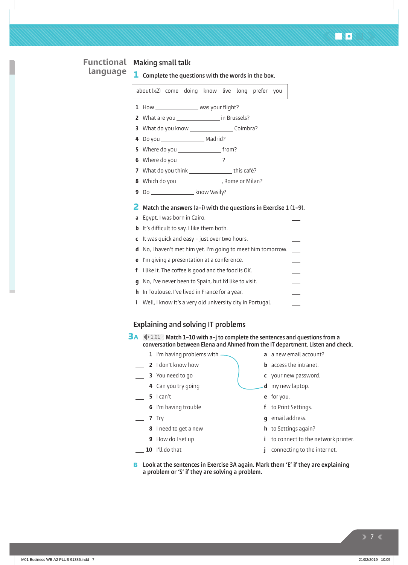## **Making small talk Functional 1 Complete the questions with the words in the box.** about (x2) come doing know live long prefer you 1 How \_\_\_\_\_\_\_\_\_\_\_\_\_\_\_\_\_ was your flight? **2** What are you **in Brussels? 3** What do you know Coimbra? **4** Do you Madrid? **5** Where do you from? **6** Where do you ? **7** What do you think \_\_\_\_\_\_\_\_\_\_\_\_\_\_\_\_\_\_\_ this café? **8** Which do you \_\_\_\_\_\_\_\_\_\_\_\_\_\_\_\_\_, Rome or Milan? **9** Do **know Vasily? 2 Match the answers (a–i) with the questions in Exercise 1 (1–9). a** Egypt. I was born in Cairo. **b** It's difficult to say. I like them both. **c** It was quick and easy – just over two hours. **d** No, I haven't met him yet. I'm going to meet him tomorrow. **e** I'm giving a presentation at a conference. **f** I like it. The coffee is good and the food is OK. **language**

**g** No, I've never been to Spain, but I'd like to visit. **h** In Toulouse. I've lived in France for a year.

**i** Well, I know it's a very old university city in Portugal.

## **Explaining and solving IT problems**

- **3A**  $\bigcirc$  1.01 Match 1-10 with a-j to complete the sentences and questions from a **conversation between Elena and Ahmed from the IT department. Listen and check.**
	- **1** I'm having problems with -
	- **2** I don't know how
	- **3** You need to go
	- **4** Can you try going
	- **5** I can't
	- **6** I'm having trouble
	- **7** Try
	- **8** I need to get a new
	- **9** How do I set up
	- **10** I'll do that
- **a** a new email account?
- **b** access the intranet.
- **c** your new password.
- **d** my new laptop.
- **e** for you.
- **f** to Print Settings.
- **g** email address.
- **h** to Settings again?
- **i** to connect to the network printer.
- **j** connecting to the internet.
- **Look at the sentences in Exercise 3A again. Mark them 'E' if they are explaining B a problem or 'S' if they are solving a problem.**